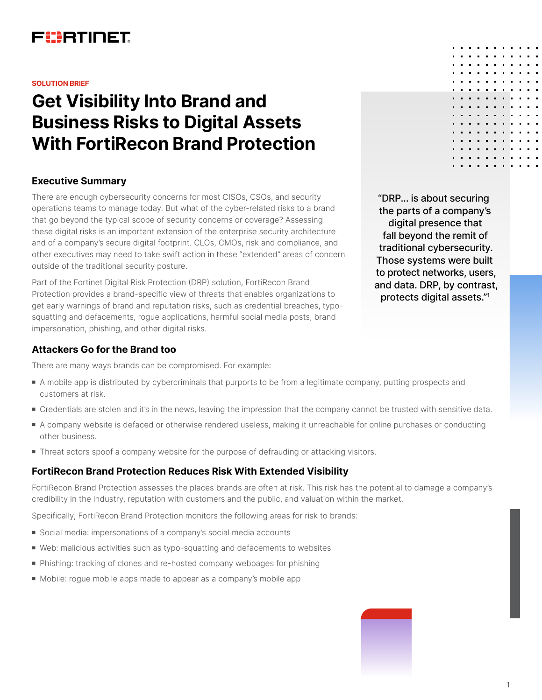

#### **SOLUTION BRIEF**

# **Get Visibility Into Brand and Business Risks to Digital Assets With FortiRecon Brand Protection**

## **Executive Summary**

There are enough cybersecurity concerns for most CISOs, CSOs, and security operations teams to manage today. But what of the cyber-related risks to a brand that go beyond the typical scope of security concerns or coverage? Assessing these digital risks is an important extension of the enterprise security architecture and of a company's secure digital footprint. CLOs, CMOs, risk and compliance, and other executives may need to take swift action in these "extended" areas of concern outside of the traditional security posture.

Part of the Fortinet Digital Risk Protection (DRP) solution, FortiRecon Brand Protection provides a brand-specific view of threats that enables organizations to get early warnings of brand and reputation risks, such as credential breaches, typosquatting and defacements, rogue applications, harmful social media posts, brand impersonation, phishing, and other digital risks.

## **Attackers Go for the Brand too**

There are many ways brands can be compromised. For example:

- <sup>n</sup> A mobile app is distributed by cybercriminals that purports to be from a legitimate company, putting prospects and customers at risk.
- <sup>n</sup> Credentials are stolen and it's in the news, leaving the impression that the company cannot be trusted with sensitive data.
- <sup>n</sup> A company website is defaced or otherwise rendered useless, making it unreachable for online purchases or conducting other business.
- **Threat actors spoof a company website for the purpose of defrauding or attacking visitors.**

#### **FortiRecon Brand Protection Reduces Risk With Extended Visibility**

FortiRecon Brand Protection assesses the places brands are often at risk. This risk has the potential to damage a company's credibility in the industry, reputation with customers and the public, and valuation within the market.

Specifically, FortiRecon Brand Protection monitors the following areas for risk to brands:

- Social media: impersonations of a company's social media accounts
- <sup>n</sup> Web: malicious activities such as typo-squatting and defacements to websites
- Phishing: tracking of clones and re-hosted company webpages for phishing
- <sup>n</sup> Mobile: rogue mobile apps made to appear as a company's mobile app

"DRP... is about securing the parts of a company's digital presence that fall beyond the remit of traditional cybersecurity. Those systems were built to protect networks, users, and data. DRP, by contrast, protects digital assets."1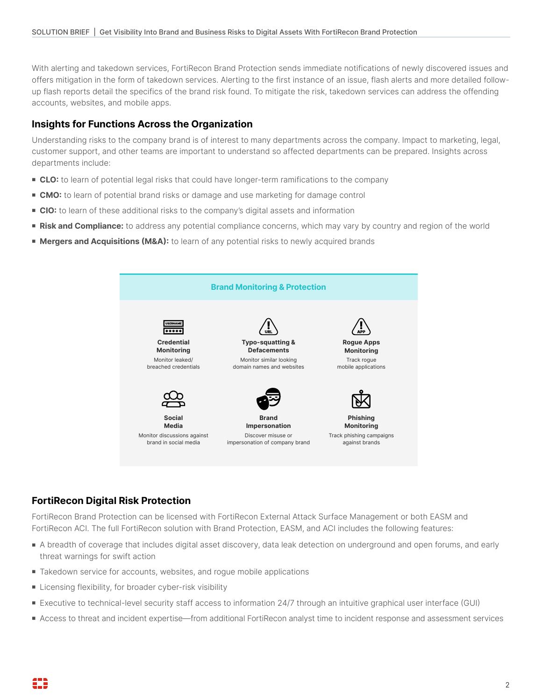With alerting and takedown services, FortiRecon Brand Protection sends immediate notifications of newly discovered issues and offers mitigation in the form of takedown services. Alerting to the first instance of an issue, flash alerts and more detailed followup flash reports detail the specifics of the brand risk found. To mitigate the risk, takedown services can address the offending accounts, websites, and mobile apps.

# **Insights for Functions Across the Organization**

Understanding risks to the company brand is of interest to many departments across the company. Impact to marketing, legal, customer support, and other teams are important to understand so affected departments can be prepared. Insights across departments include:

- **CLO:** to learn of potential legal risks that could have longer-term ramifications to the company
- **CMO:** to learn of potential brand risks or damage and use marketing for damage control
- **CIO:** to learn of these additional risks to the company's digital assets and information
- **Risk and Compliance:** to address any potential compliance concerns, which may vary by country and region of the world
- **Mergers and Acquisitions (M&A):** to learn of any potential risks to newly acquired brands



# **FortiRecon Digital Risk Protection**

FortiRecon Brand Protection can be licensed with FortiRecon External Attack Surface Management or both EASM and FortiRecon ACI. The full FortiRecon solution with Brand Protection, EASM, and ACI includes the following features:

- A breadth of coverage that includes digital asset discovery, data leak detection on underground and open forums, and early threat warnings for swift action
- Takedown service for accounts, websites, and roque mobile applications
- Licensing flexibility, for broader cyber-risk visibility
- Executive to technical-level security staff access to information 24/7 through an intuitive graphical user interface (GUI)
- <sup>n</sup> Access to threat and incident expertise—from additional FortiRecon analyst time to incident response and assessment services